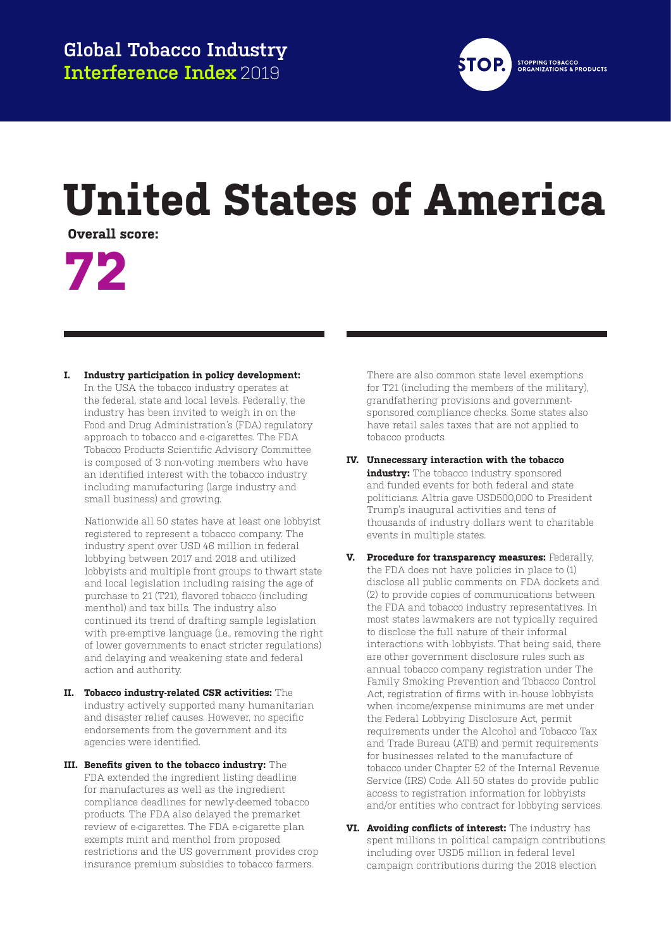

#### **STOPPING TOBACCO<br>ORGANIZATIONS & PRODUCTS**

## **United States of America**

**Overall score:**

# **72**

**I. Industry participation in policy development:** In the USA the tobacco industry operates at the federal, state and local levels. Federally, the industry has been invited to weigh in on the Food and Drug Administration's (FDA) regulatory approach to tobacco and e-cigarettes. The FDA Tobacco Products Scientific Advisory Committee is composed of 3 non-voting members who have an identified interest with the tobacco industry including manufacturing (large industry and small business) and growing.

Nationwide all 50 states have at least one lobbyist registered to represent a tobacco company. The industry spent over USD 46 million in federal lobbying between 2017 and 2018 and utilized lobbyists and multiple front groups to thwart state and local legislation including raising the age of purchase to 21 (T21), flavored tobacco (including menthol) and tax bills. The industry also continued its trend of drafting sample legislation with pre-emptive language (i.e., removing the right of lower governments to enact stricter regulations) and delaying and weakening state and federal action and authority.

- **II. Tobacco industry-related CSR activities:** The industry actively supported many humanitarian and disaster relief causes. However, no specific endorsements from the government and its agencies were identified.
- **III. Benefits given to the tobacco industry:** The FDA extended the ingredient listing deadline for manufactures as well as the ingredient compliance deadlines for newly-deemed tobacco products. The FDA also delayed the premarket review of e-cigarettes. The FDA e-cigarette plan exempts mint and menthol from proposed restrictions and the US government provides crop insurance premium subsidies to tobacco farmers.

There are also common state level exemptions for T21 (including the members of the military), grandfathering provisions and governmentsponsored compliance checks. Some states also have retail sales taxes that are not applied to tobacco products.

- **IV. Unnecessary interaction with the tobacco industry:** The tobacco industry sponsored and funded events for both federal and state politicians. Altria gave USD500,000 to President Trump's inaugural activities and tens of thousands of industry dollars went to charitable events in multiple states.
- **V. Procedure for transparency measures:** Federally, the FDA does not have policies in place to (1) disclose all public comments on FDA dockets and (2) to provide copies of communications between the FDA and tobacco industry representatives. In most states lawmakers are not typically required to disclose the full nature of their informal interactions with lobbyists. That being said, there are other government disclosure rules such as annual tobacco company registration under The Family Smoking Prevention and Tobacco Control Act, registration of firms with in-house lobbyists when income/expense minimums are met under the Federal Lobbying Disclosure Act, permit requirements under the Alcohol and Tobacco Tax and Trade Bureau (ATB) and permit requirements for businesses related to the manufacture of tobacco under Chapter 52 of the Internal Revenue Service (IRS) Code. All 50 states do provide public access to registration information for lobbyists and/or entities who contract for lobbying services.
- **VI. Avoiding conflicts of interest:** The industry has spent millions in political campaign contributions including over USD5 million in federal level campaign contributions during the 2018 election